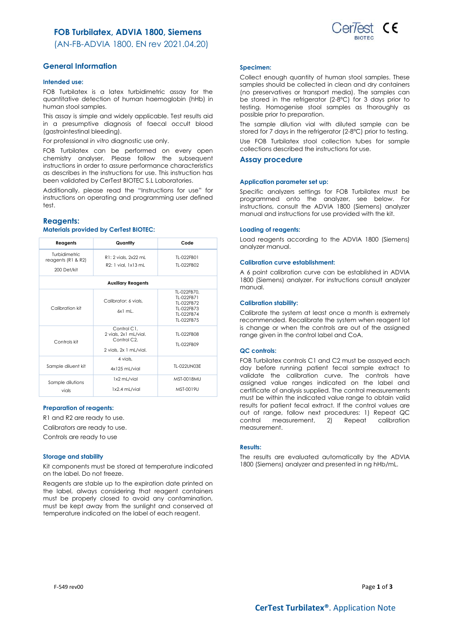## **FOB Turbilatex, ADVIA 1800, Siemens**

(AN-FB-ADVIA 1800. EN rev 2021.04.20)



#### **Intended use:**

FOB Turbilatex is a latex turbidimetric assay for the quantitative detection of human haemoglobin (hHb) in human stool samples.

This assay is simple and widely applicable. Test results aid in a presumptive diagnosis of faecal occult blood (gastrointestinal bleeding).

For professional *in vitro* diagnostic use only.

FOB Turbilatex can be performed on every open chemistry analyser. Please follow the subsequent instructions in order to assure performance characteristics as describes in the instructions for use. This instruction has been validated by CerTest BIOTEC S.L Laboratories.

Additionally, please read the "Instructions for use" for instructions on operating and programming user defined test.

### **Reagents:**

### **Materials provided by CerTest BIOTEC:**

| Reagents                                                 | Quantity                                                                                   | Code                                                                              |  |  |
|----------------------------------------------------------|--------------------------------------------------------------------------------------------|-----------------------------------------------------------------------------------|--|--|
| Turbidimetric<br>reagents ( $R1$ & $R2$ )<br>200 Det/kit | R1: 2 vials, 2x22 mL<br>R2: 1 vial. 1x13 mL                                                | TI-022FB01<br>TI-022FB02                                                          |  |  |
| <b>Auxiliary Reagents</b>                                |                                                                                            |                                                                                   |  |  |
| Calibration kit                                          | Calibrator: 6 vials.<br>$6x1$ ml.                                                          | TL-022FB70.<br>TI-022FB71<br>TI-022FB72<br>TI-022FB73<br>TI-022FB74<br>TI-022FB75 |  |  |
| Controls kit                                             | Control C1.<br>2 vials, 2x1 mL/vial.<br>Control C <sub>2</sub> .<br>2 vials, 2x 1 mL/vial. | TI-022FB08<br>TI-022FB09                                                          |  |  |
| Sample diluent kit                                       | 4 vials.<br>4x125 mL/vial                                                                  | TI-022UN03F                                                                       |  |  |
| Sample dilutions<br>vials                                | 1x2 mL/vial<br>1x2.4 mL/vial                                                               | MST-0018MU<br>MST-0019U                                                           |  |  |

### **Preparation of reagents:**

R1 and R2 are ready to use.

Calibrators are ready to use.

Controls are ready to use

#### **Storage and stability**

Kit components must be stored at temperature indicated on the label. Do not freeze.

Reagents are stable up to the expiration date printed on the label, always considering that reagent containers must be properly closed to avoid any contamination, must be kept away from the sunlight and conserved at temperature indicated on the label of each reagent.

#### **Specimen:**

Collect enough quantity of human stool samples. These samples should be collected in clean and dry containers (no preservatives or transport media). The samples can be stored in the refrigerator (2-8ºC) for 3 days prior to testing. Homogenise stool samples as thoroughly as possible prior to preparation.

The sample dilution vial with diluted sample can be stored for 7 days in the refrigerator (2-8ºC) prior to testing.

Use FOB Turbilatex stool collection tubes for sample collections described the instructions for use.

### **Assay procedure**

### **Application parameter set up:**

Specific analyzers settings for FOB Turbilatex must be programmed onto the analyzer, see below. For instructions, consult the ADVIA 1800 (Siemens) analyzer manual and instructions for use provided with the kit.

#### **Loading of reagents:**

Load reagents according to the ADVIA 1800 (Siemens) analyzer manual.

### **Calibration curve establishment:**

A 6 point calibration curve can be established in ADVIA 1800 (Siemens) analyzer. For instructions consult analyzer manual.

#### **Calibration stability:**

Calibrate the system at least once a month is extremely recommended. Recalibrate the system when reagent lot is change or when the controls are out of the assigned range given in the control label and CoA.

#### **QC controls:**

FOB Turbilatex controls C1 and C2 must be assayed each day before running patient fecal sample extract to validate the calibration curve. The controls have assigned value ranges indicated on the label and certificate of analysis supplied. The control measurements must be within the indicated value range to obtain valid results for patient fecal extract. If the control values are out of range, follow next procedures: 1) Repeat QC control measurement, 2) Repeat calibration measurement.

#### **Results:**

The results are evaluated automatically by the ADVIA 1800 (Siemens) analyzer and presented in ng hHb/mL.

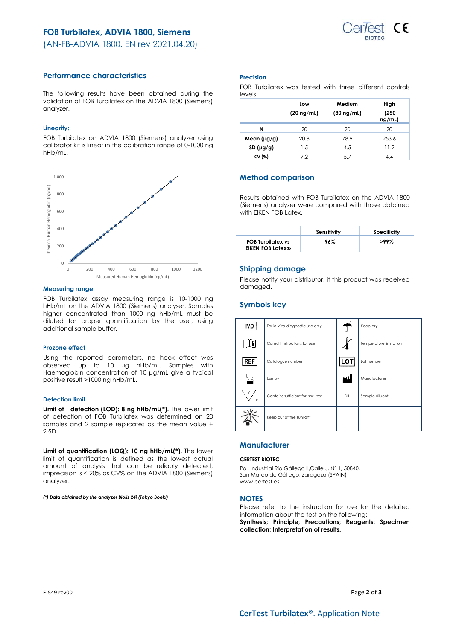

(AN-FB-ADVIA 1800. EN rev 2021.04.20)

## **Performance characteristics**

The following results have been obtained during the validation of FOB Turbilatex on the ADVIA 1800 (Siemens) analyzer.

## **Linearity:**

FOB Turbilatex on ADVIA 1800 (Siemens) analyzer using calibrator kit is linear in the calibration range of 0-1000 ng hHb/mL.



### **Measuring range:**

FOB Turbilatex assay measuring range is 10-1000 ng hHb/mL on the ADVIA 1800 (Siemens) analyser. Samples higher concentrated than 1000 ng hHb/mL must be diluted for proper quantification by the user, using additional sample buffer.

### **Prozone effect**

Using the reported parameters, no hook effect was observed up to 10 μg hHb/mL. Samples with Haemoglobin concentration of 10 μg/mL give a typical positive result >1000 ng hHb/mL.

### **Detection limit**

**Limit of detection (LOD): 8 ng hHb/mL(\*).** The lower limit of detection of FOB Turbilatex was determined on 20 samples and 2 sample replicates as the mean value +  $2.5D$ .

**Limit of quantification (LOQ): 10 ng hHb/mL(\*).** The lower limit of quantification is defined as the lowest actual amount of analysis that can be reliably detected; imprecision is < 20% as CV% on the ADVIA 1800 (Siemens) analyzer.

*(\*) Data obtained by the analyzer Biolis 24i (Tokyo Boeki)*

### **Precision**

|         | FOB Turbilatex was tested with three different controls |  |  |  |
|---------|---------------------------------------------------------|--|--|--|
| levels. |                                                         |  |  |  |

|             | Low<br>$(20 \nmid mL)$ | Medium<br>$(80 \nmid mL)$ | High<br>(250)<br>ng/mL) |
|-------------|------------------------|---------------------------|-------------------------|
| N           | 20                     | 20                        | 20                      |
| Mean (µg/g) | 20.8                   | 78.9                      | 253.6                   |
| SD(µg/g)    | 1.5                    | 4.5                       | 11.2                    |
| CV (%)      | 7.2                    | 5.7                       | 4.4                     |

## **Method comparison**

Results obtained with FOB Turbilatex on the ADVIA 1800 (Siemens) analyzer were compared with those obtained with EIKEN FOB Latex.

|                                                     | Sensitivity | Specificity |
|-----------------------------------------------------|-------------|-------------|
| <b>FOB Turbilatex vs</b><br><b>EIKEN FOB Latex®</b> | 96%         | $>99\%$     |

## **Shipping damage**

Please notify your distributor, it this product was received damaged.

## **Symbols key**

| <b>IVD</b> | For in vitro diagnostic use only     |     | Keep dry               |
|------------|--------------------------------------|-----|------------------------|
|            | Consult instructions for use         |     | Temperature limitation |
| REF        | Catalogue number                     | LOT | Lot number             |
|            | Use by                               |     | Manufacturer           |
| Σ.<br>n    | Contains sufficient for <n> test</n> | DIL | Sample diluent         |
|            | Keep out of the sunlight             |     |                        |

## **Manufacturer**

### **CERTEST BIOTEC**

Pol. Industrial Río Gállego II,Calle J, Nº 1, 50840, San Mateo de Gállego, Zaragoza (SPAIN) www.certest.es

## **NOTES**

Please refer to the instruction for use for the detailed information about the test on the following: **Synthesis; Principle; Precautions; Reagents; Specimen collection; Interpretation of results.**